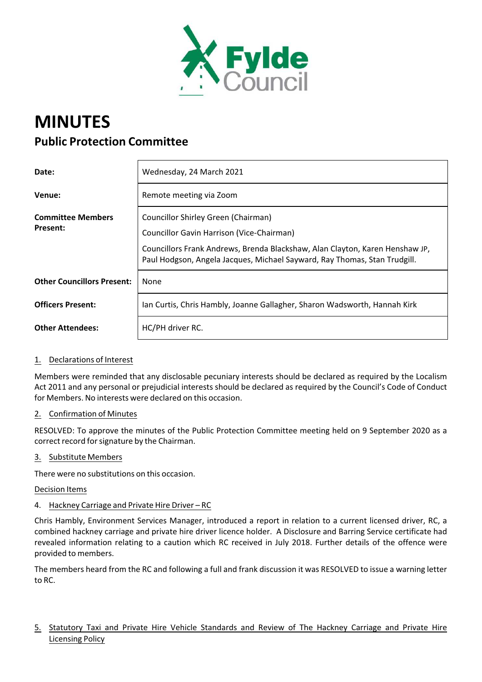

# **MINUTES Public Protection Committee**

| Date:                                       | Wednesday, 24 March 2021                                                                                                                                                                                                                             |
|---------------------------------------------|------------------------------------------------------------------------------------------------------------------------------------------------------------------------------------------------------------------------------------------------------|
| Venue:                                      | Remote meeting via Zoom                                                                                                                                                                                                                              |
| <b>Committee Members</b><br><b>Present:</b> | Councillor Shirley Green (Chairman)<br><b>Councillor Gavin Harrison (Vice-Chairman)</b><br>Councillors Frank Andrews, Brenda Blackshaw, Alan Clayton, Karen Henshaw JP,<br>Paul Hodgson, Angela Jacques, Michael Sayward, Ray Thomas, Stan Trudgill. |
| <b>Other Councillors Present:</b>           | None                                                                                                                                                                                                                                                 |
| <b>Officers Present:</b>                    | Jan Curtis, Chris Hambly, Joanne Gallagher, Sharon Wadsworth, Hannah Kirk                                                                                                                                                                            |
| <b>Other Attendees:</b>                     | HC/PH driver RC.                                                                                                                                                                                                                                     |

## 1. Declarations of Interest

Members were reminded that any disclosable pecuniary interests should be declared as required by the Localism Act 2011 and any personal or prejudicial interests should be declared as required by the Council's Code of Conduct for Members. No interests were declared on this occasion.

## 2. Confirmation of Minutes

RESOLVED: To approve the minutes of the Public Protection Committee meeting held on 9 September 2020 as a correct record for signature by the Chairman.

## 3. Substitute Members

There were no substitutions on this occasion.

#### Decision Items

## 4. Hackney Carriage and Private Hire Driver – RC

Chris Hambly, Environment Services Manager, introduced a report in relation to a current licensed driver, RC, a combined hackney carriage and private hire driver licence holder. A Disclosure and Barring Service certificate had revealed information relating to a caution which RC received in July 2018. Further details of the offence were provided to members.

The members heard from the RC and following a full and frank discussion it was RESOLVED to issue a warning letter to RC.

5. Statutory Taxi and Private Hire Vehicle Standards and Review of The Hackney Carriage and Private Hire Licensing Policy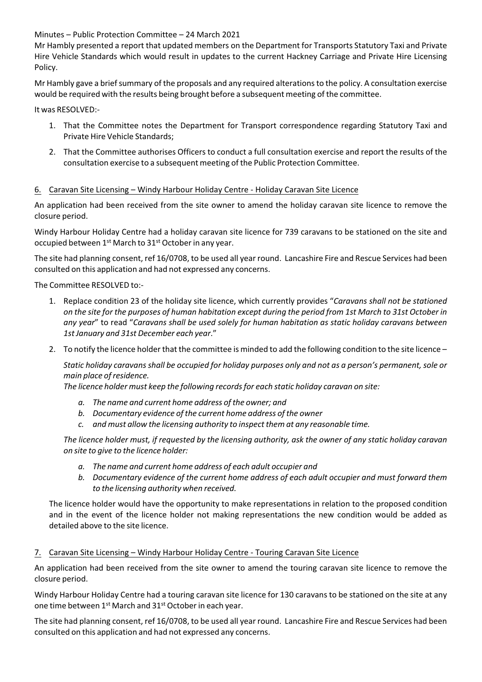Minutes – Public Protection Committee – 24 March 2021

Mr Hambly presented a report that updated members on the Department for Transports Statutory Taxi and Private Hire Vehicle Standards which would result in updates to the current Hackney Carriage and Private Hire Licensing Policy.

Mr Hambly gave a briefsummary of the proposals and any required alterationsto the policy. A consultation exercise would be required with the results being brought before a subsequent meeting of the committee.

It was RESOLVED:‐

- 1. That the Committee notes the Department for Transport correspondence regarding Statutory Taxi and Private Hire Vehicle Standards;
- 2. That the Committee authorises Officers to conduct a full consultation exercise and report the results of the consultation exercise to a subsequent meeting of the Public Protection Committee.

## 6. Caravan Site Licensing – Windy Harbour Holiday Centre ‐ Holiday Caravan Site Licence

An application had been received from the site owner to amend the holiday caravan site licence to remove the closure period.

Windy Harbour Holiday Centre had a holiday caravan site licence for 739 caravans to be stationed on the site and occupied between 1<sup>st</sup> March to 31<sup>st</sup> October in any year.

The site had planning consent, ref 16/0708, to be used all year round. Lancashire Fire and Rescue Services had been consulted on this application and had not expressed any concerns.

The Committee RESOLVED to:‐

- 1. Replace condition 23 of the holiday site licence, which currently provides "*Caravans shall not be stationed* on the site for the purposes of human habitation except during the period from 1st March to 31st October in *any year*" to read "*Caravans shall be used solely for human habitation as static holiday caravans between 1st January and 31st December each year*."
- 2. To notify the licence holder that the committee is minded to add the following condition to the site licence  $-$

Static holiday caravans shall be occupied for holiday purposes only and not as a person's permanent, sole or *main place of residence.*

*The licence holder must keep the following recordsfor each static holiday caravan on site:*

- *a. The name and current home address of the owner; and*
- *b. Documentary evidence of the current home address of the owner*
- *c. and must allow the licensing authority to inspect them at any reasonable time.*

The licence holder must, if requested by the licensing authority, ask the owner of any static holiday caravan *on site to give to the licence holder:*

- *a. The name and current home address of each adult occupier and*
- *b. Documentary evidence of the current home address of each adult occupier and must forward them to the licensing authority when received.*

The licence holder would have the opportunity to make representations in relation to the proposed condition and in the event of the licence holder not making representations the new condition would be added as detailed above to the site licence.

## 7. Caravan Site Licensing – Windy Harbour Holiday Centre - Touring Caravan Site Licence

An application had been received from the site owner to amend the touring caravan site licence to remove the closure period.

Windy Harbour Holiday Centre had a touring caravan site licence for 130 caravans to be stationed on the site at any one time between 1<sup>st</sup> March and 31<sup>st</sup> October in each year.

The site had planning consent, ref 16/0708, to be used all year round. Lancashire Fire and Rescue Services had been consulted on this application and had not expressed any concerns.